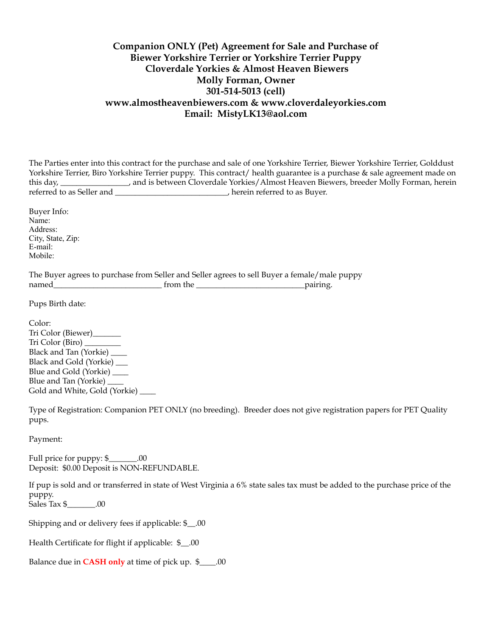### **Companion ONLY (Pet) Agreement for Sale and Purchase of Biewer Yorkshire Terrier or Yorkshire Terrier Puppy Cloverdale Yorkies & Almost Heaven Biewers Molly Forman, Owner 301-514-5013 (cell) www.almostheavenbiewers.com & www.cloverdaleyorkies.com Email: MistyLK13@aol.com**

The Parties enter into this contract for the purchase and sale of one Yorkshire Terrier, Biewer Yorkshire Terrier, Golddust Yorkshire Terrier, Biro Yorkshire Terrier puppy. This contract/ health guarantee is a purchase & sale agreement made on this day, \_\_\_\_\_\_\_\_\_\_\_\_\_\_\_\_\_, and is between Cloverdale Yorkies/Almost Heaven Biewers, breeder Molly Forman, herein referred to as Seller and \_\_\_\_\_\_\_\_\_\_\_\_\_\_\_\_\_\_\_\_\_\_\_\_\_\_\_\_, herein referred to as Buyer.

Buyer Info: Name: Address: City, State, Zip: E-mail: Mobile:

|       | The Buyer agrees to purchase from Seller and Seller agrees to sell Buyer a female/male puppy |          |
|-------|----------------------------------------------------------------------------------------------|----------|
| named | from the                                                                                     | pairing. |

Pups Birth date:

Color: Tri Color (Biewer)\_\_\_\_\_\_\_ Tri Color (Biro) \_\_\_\_\_\_\_\_\_ Black and Tan (Yorkie) \_\_\_\_\_ Black and Gold (Yorkie) \_\_\_ Blue and Gold (Yorkie) \_\_\_\_ Blue and Tan (Yorkie) \_\_\_\_ Gold and White, Gold (Yorkie) \_\_

Type of Registration: Companion PET ONLY (no breeding). Breeder does not give registration papers for PET Quality pups.

Payment:

Full price for puppy: \$\_\_\_\_\_\_\_.00 Deposit: \$0.00 Deposit is NON-REFUNDABLE.

If pup is sold and or transferred in state of West Virginia a 6% state sales tax must be added to the purchase price of the puppy. Sales Tax \$\_\_\_\_\_\_\_.00

Shipping and or delivery fees if applicable: \$\_\_.00

Health Certificate for flight if applicable: \$\_\_.00

Balance due in **CASH only** at time of pick up. \$\_\_\_\_.00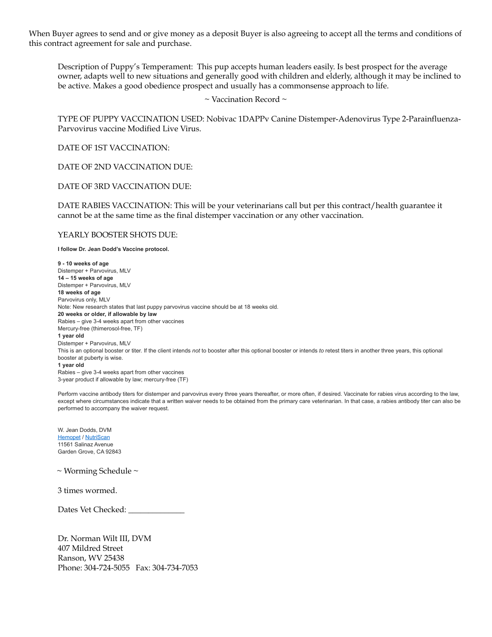When Buyer agrees to send and or give money as a deposit Buyer is also agreeing to accept all the terms and conditions of this contract agreement for sale and purchase.

Description of Puppy's Temperament: This pup accepts human leaders easily. Is best prospect for the average owner, adapts well to new situations and generally good with children and elderly, although it may be inclined to be active. Makes a good obedience prospect and usually has a commonsense approach to life.

#### $\sim$  Vaccination Record  $\sim$

TYPE OF PUPPY VACCINATION USED: Nobivac 1DAPPv Canine Distemper-Adenovirus Type 2-Parainfluenza-Parvovirus vaccine Modified Live Virus.

DATE OF 1ST VACCINATION:

DATE OF 2ND VACCINATION DUE:

DATE OF 3RD VACCINATION DUE:

DATE RABIES VACCINATION: This will be your veterinarians call but per this contract/health guarantee it cannot be at the same time as the final distemper vaccination or any other vaccination.

#### YEARLY BOOSTER SHOTS DUE:

**I follow Dr. Jean Dodd's Vaccine protocol.**

**9 - 10 weeks of age** Distemper + Parvovirus, MLV **14 – 15 weeks of age** Distemper + Parvovirus, MLV **18 weeks of age** Parvovirus only, MLV Note: New research states that last puppy parvovirus vaccine should be at 18 weeks old. **20 weeks or older, if allowable by law** Rabies – give 3-4 weeks apart from other vaccines Mercury-free (thimerosol-free, TF) **1 year old** Distemper + Parvovirus, MLV This is an optional booster or titer. If the client intends *not* to booster after this optional booster or intends *to* retest titers in another three years, this optional booster at puberty is wise. **1 year old** Rabies – give 3-4 weeks apart from other vaccines 3-year product if allowable by law; mercury-free (TF)

Perform vaccine antibody titers for distemper and parvovirus every three years thereafter, or more often, if desired. Vaccinate for rabies virus according to the law, except where circumstances indicate that a written waiver needs to be obtained from the primary care veterinarian. In that case, a rabies antibody titer can also be performed to accompany the waiver request.

W. Jean Dodds, DVM [Hemopet](http://t.umblr.com/redirect?z=http%253A%252F%252Fwww.hemopet.org%252F%253Futm_source%253Dtumblr%2526utm_medium%253Dsign%2526utm_campaign%253D2016-vaccine-protocol&t=ODU3YTRlY2E5NGViZjI2NDcyZDAzMmM2NDY1YjFkODUxNmU3ZTg2NCxwU0EwMVB4SA%253D%253D&b=t%253A2PGwnMFdfWUbHfhGfy-plA&p=https%253A%252F%252Fdrjeandoddspethealthresource.tumblr.com%252Fpost%252F147595920886%252Fdodds-vaccination-protocol-dogs-2016&m=1) / [NutriScan](http://t.umblr.com/redirect?z=http%253A%252F%252Fwww.nutriscan.org%252F%253Futm_source%253Dtumblr%2526utm_medium%253Dsign%2526utm_campaign%253D2016-vaccine-protocol&t=NmFiODU4YzgyZWY0Y2MwOTMzZTQ1ZjhjMDUwYzAzNTU5OTY5NWI3OCxwU0EwMVB4SA%253D%253D&b=t%253A2PGwnMFdfWUbHfhGfy-plA&p=https%253A%252F%252Fdrjeandoddspethealthresource.tumblr.com%252Fpost%252F147595920886%252Fdodds-vaccination-protocol-dogs-2016&m=1) 11561 Salinaz Avenue Garden Grove, CA 92843

 $\sim$  Worming Schedule  $\sim$ 

3 times wormed.

Dates Vet Checked:

Dr. Norman Wilt III, DVM 407 Mildred Street Ranson, WV 25438 Phone: 304-724-5055 Fax: 304-734-7053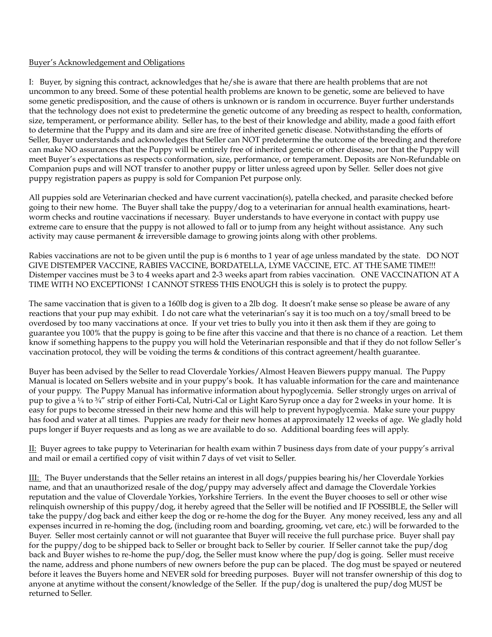#### Buyer's Acknowledgement and Obligations

I: Buyer, by signing this contract, acknowledges that he/she is aware that there are health problems that are not uncommon to any breed. Some of these potential health problems are known to be genetic, some are believed to have some genetic predisposition, and the cause of others is unknown or is random in occurrence. Buyer further understands that the technology does not exist to predetermine the genetic outcome of any breeding as respect to health, conformation, size, temperament, or performance ability. Seller has, to the best of their knowledge and ability, made a good faith effort to determine that the Puppy and its dam and sire are free of inherited genetic disease. Notwithstanding the efforts of Seller, Buyer understands and acknowledges that Seller can NOT predetermine the outcome of the breeding and therefore can make NO assurances that the Puppy will be entirely free of inherited genetic or other disease, nor that the Puppy will meet Buyer's expectations as respects conformation, size, performance, or temperament. Deposits are Non-Refundable on Companion pups and will NOT transfer to another puppy or litter unless agreed upon by Seller. Seller does not give puppy registration papers as puppy is sold for Companion Pet purpose only.

All puppies sold are Veterinarian checked and have current vaccination(s), patella checked, and parasite checked before going to their new home. The Buyer shall take the puppy/dog to a veterinarian for annual health examinations, heartworm checks and routine vaccinations if necessary. Buyer understands to have everyone in contact with puppy use extreme care to ensure that the puppy is not allowed to fall or to jump from any height without assistance. Any such activity may cause permanent & irreversible damage to growing joints along with other problems.

Rabies vaccinations are not to be given until the pup is 6 months to 1 year of age unless mandated by the state. DO NOT GIVE DISTEMPER VACCINE, RABIES VACCINE, BORDATELLA, LYME VACCINE, ETC. AT THE SAME TIME!!! Distemper vaccines must be 3 to 4 weeks apart and 2-3 weeks apart from rabies vaccination. ONE VACCINATION AT A TIME WITH NO EXCEPTIONS! I CANNOT STRESS THIS ENOUGH this is solely is to protect the puppy.

The same vaccination that is given to a 160lb dog is given to a 2lb dog. It doesn't make sense so please be aware of any reactions that your pup may exhibit. I do not care what the veterinarian's say it is too much on a toy/small breed to be overdosed by too many vaccinations at once. If your vet tries to bully you into it then ask them if they are going to guarantee you 100% that the puppy is going to be fine after this vaccine and that there is no chance of a reaction. Let them know if something happens to the puppy you will hold the Veterinarian responsible and that if they do not follow Seller's vaccination protocol, they will be voiding the terms & conditions of this contract agreement/health guarantee.

Buyer has been advised by the Seller to read Cloverdale Yorkies/Almost Heaven Biewers puppy manual. The Puppy Manual is located on Sellers website and in your puppy's book. It has valuable information for the care and maintenance of your puppy. The Puppy Manual has informative information about hypoglycemia. Seller strongly urges on arrival of pup to give a ¼ to ¾" strip of either Forti-Cal, Nutri-Cal or Light Karo Syrup once a day for 2 weeks in your home. It is easy for pups to become stressed in their new home and this will help to prevent hypoglycemia. Make sure your puppy has food and water at all times. Puppies are ready for their new homes at approximately 12 weeks of age. We gladly hold pups longer if Buyer requests and as long as we are available to do so. Additional boarding fees will apply.

II: Buyer agrees to take puppy to Veterinarian for health exam within 7 business days from date of your puppy's arrival and mail or email a certified copy of visit within 7 days of vet visit to Seller.

III: The Buyer understands that the Seller retains an interest in all dogs/puppies bearing his/her Cloverdale Yorkies name, and that an unauthorized resale of the dog/puppy may adversely affect and damage the Cloverdale Yorkies reputation and the value of Cloverdale Yorkies, Yorkshire Terriers. In the event the Buyer chooses to sell or other wise relinquish ownership of this puppy/dog, it hereby agreed that the Seller will be notified and IF POSSIBLE, the Seller will take the puppy/dog back and either keep the dog or re-home the dog for the Buyer. Any money received, less any and all expenses incurred in re-homing the dog, (including room and boarding, grooming, vet care, etc.) will be forwarded to the Buyer. Seller most certainly cannot or will not guarantee that Buyer will receive the full purchase price. Buyer shall pay for the puppy/dog to be shipped back to Seller or brought back to Seller by courier. If Seller cannot take the pup/dog back and Buyer wishes to re-home the pup/dog, the Seller must know where the pup/dog is going. Seller must receive the name, address and phone numbers of new owners before the pup can be placed. The dog must be spayed or neutered before it leaves the Buyers home and NEVER sold for breeding purposes. Buyer will not transfer ownership of this dog to anyone at anytime without the consent/knowledge of the Seller. If the pup/dog is unaltered the pup/dog MUST be returned to Seller.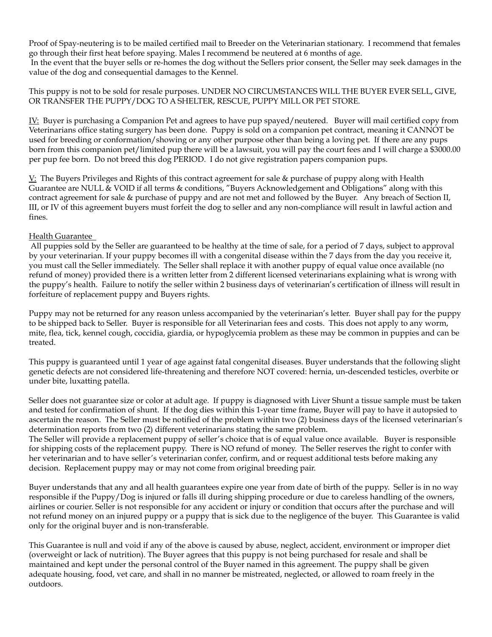Proof of Spay-neutering is to be mailed certified mail to Breeder on the Veterinarian stationary. I recommend that females go through their first heat before spaying. Males I recommend be neutered at 6 months of age. In the event that the buyer sells or re-homes the dog without the Sellers prior consent, the Seller may seek damages in the value of the dog and consequential damages to the Kennel.

This puppy is not to be sold for resale purposes. UNDER NO CIRCUMSTANCES WILL THE BUYER EVER SELL, GIVE, OR TRANSFER THE PUPPY/DOG TO A SHELTER, RESCUE, PUPPY MILL OR PET STORE.

IV: Buyer is purchasing a Companion Pet and agrees to have pup spayed/neutered. Buyer will mail certified copy from Veterinarians office stating surgery has been done. Puppy is sold on a companion pet contract, meaning it CANNOT be used for breeding or conformation/showing or any other purpose other than being a loving pet. If there are any pups born from this companion pet/limited pup there will be a lawsuit, you will pay the court fees and I will charge a \$3000.00 per pup fee born. Do not breed this dog PERIOD. I do not give registration papers companion pups.

V: The Buyers Privileges and Rights of this contract agreement for sale & purchase of puppy along with Health Guarantee are NULL & VOID if all terms & conditions, "Buyers Acknowledgement and Obligations" along with this contract agreement for sale & purchase of puppy and are not met and followed by the Buyer. Any breach of Section II, III, or IV of this agreement buyers must forfeit the dog to seller and any non-compliance will result in lawful action and fines.

#### Health Guarantee

 All puppies sold by the Seller are guaranteed to be healthy at the time of sale, for a period of 7 days, subject to approval by your veterinarian. If your puppy becomes ill with a congenital disease within the 7 days from the day you receive it, you must call the Seller immediately. The Seller shall replace it with another puppy of equal value once available (no refund of money) provided there is a written letter from 2 different licensed veterinarians explaining what is wrong with the puppy's health. Failure to notify the seller within 2 business days of veterinarian's certification of illness will result in forfeiture of replacement puppy and Buyers rights.

Puppy may not be returned for any reason unless accompanied by the veterinarian's letter. Buyer shall pay for the puppy to be shipped back to Seller. Buyer is responsible for all Veterinarian fees and costs. This does not apply to any worm, mite, flea, tick, kennel cough, coccidia, giardia, or hypoglycemia problem as these may be common in puppies and can be treated.

This puppy is guaranteed until 1 year of age against fatal congenital diseases. Buyer understands that the following slight genetic defects are not considered life-threatening and therefore NOT covered: hernia, un-descended testicles, overbite or under bite, luxatting patella.

Seller does not guarantee size or color at adult age. If puppy is diagnosed with Liver Shunt a tissue sample must be taken and tested for confirmation of shunt. If the dog dies within this 1-year time frame, Buyer will pay to have it autopsied to ascertain the reason. The Seller must be notified of the problem within two (2) business days of the licensed veterinarian's determination reports from two (2) different veterinarians stating the same problem.

The Seller will provide a replacement puppy of seller's choice that is of equal value once available. Buyer is responsible for shipping costs of the replacement puppy. There is NO refund of money. The Seller reserves the right to confer with her veterinarian and to have seller's veterinarian confer, confirm, and or request additional tests before making any decision. Replacement puppy may or may not come from original breeding pair.

Buyer understands that any and all health guarantees expire one year from date of birth of the puppy. Seller is in no way responsible if the Puppy/Dog is injured or falls ill during shipping procedure or due to careless handling of the owners, airlines or courier. Seller is not responsible for any accident or injury or condition that occurs after the purchase and will not refund money on an injured puppy or a puppy that is sick due to the negligence of the buyer. This Guarantee is valid only for the original buyer and is non-transferable.

This Guarantee is null and void if any of the above is caused by abuse, neglect, accident, environment or improper diet (overweight or lack of nutrition). The Buyer agrees that this puppy is not being purchased for resale and shall be maintained and kept under the personal control of the Buyer named in this agreement. The puppy shall be given adequate housing, food, vet care, and shall in no manner be mistreated, neglected, or allowed to roam freely in the outdoors.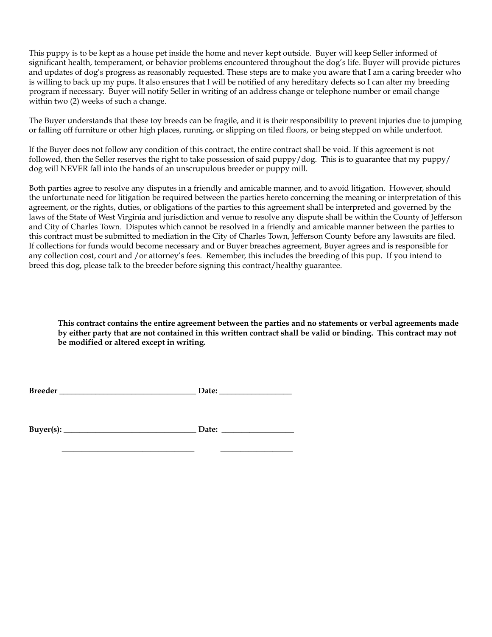This puppy is to be kept as a house pet inside the home and never kept outside. Buyer will keep Seller informed of significant health, temperament, or behavior problems encountered throughout the dog's life. Buyer will provide pictures and updates of dog's progress as reasonably requested. These steps are to make you aware that I am a caring breeder who is willing to back up my pups. It also ensures that I will be notified of any hereditary defects so I can alter my breeding program if necessary. Buyer will notify Seller in writing of an address change or telephone number or email change within two (2) weeks of such a change.

The Buyer understands that these toy breeds can be fragile, and it is their responsibility to prevent injuries due to jumping or falling off furniture or other high places, running, or slipping on tiled floors, or being stepped on while underfoot.

If the Buyer does not follow any condition of this contract, the entire contract shall be void. If this agreement is not followed, then the Seller reserves the right to take possession of said puppy/dog. This is to guarantee that my puppy/ dog will NEVER fall into the hands of an unscrupulous breeder or puppy mill.

Both parties agree to resolve any disputes in a friendly and amicable manner, and to avoid litigation. However, should the unfortunate need for litigation be required between the parties hereto concerning the meaning or interpretation of this agreement, or the rights, duties, or obligations of the parties to this agreement shall be interpreted and governed by the laws of the State of West Virginia and jurisdiction and venue to resolve any dispute shall be within the County of Jefferson and City of Charles Town. Disputes which cannot be resolved in a friendly and amicable manner between the parties to this contract must be submitted to mediation in the City of Charles Town, Jefferson County before any lawsuits are filed. If collections for funds would become necessary and or Buyer breaches agreement, Buyer agrees and is responsible for any collection cost, court and /or attorney's fees. Remember, this includes the breeding of this pup. If you intend to breed this dog, please talk to the breeder before signing this contract/healthy guarantee.

**This contract contains the entire agreement between the parties and no statements or verbal agreements made by either party that are not contained in this written contract shall be valid or binding. This contract may not be modified or altered except in writing.**

| <b>Breeder</b> | )ate: |
|----------------|-------|
|                |       |

**Buyer(s): \_\_\_\_\_\_\_\_\_\_\_\_\_\_\_\_\_\_\_\_\_\_\_\_\_\_\_\_\_\_\_\_\_ Date: \_\_\_\_\_\_\_\_\_\_\_\_\_\_\_\_\_\_** 

\_\_\_\_\_\_\_\_\_\_\_\_\_\_\_\_\_\_\_\_\_\_\_\_\_\_\_\_\_\_\_\_\_ \_\_\_\_\_\_\_\_\_\_\_\_\_\_\_\_\_\_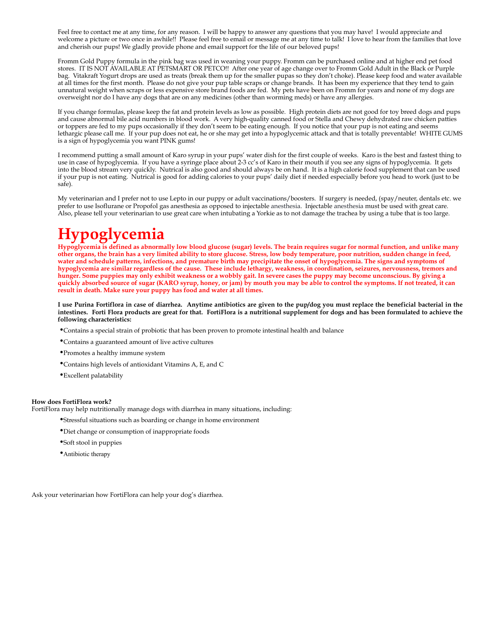Feel free to contact me at any time, for any reason. I will be happy to answer any questions that you may have! I would appreciate and welcome a picture or two once in awhile!! Please feel free to email or message me at any time to talk! I love to hear from the families that love and cherish our pups! We gladly provide phone and email support for the life of our beloved pups!

Fromm Gold Puppy formula in the pink bag was used in weaning your puppy. Fromm can be purchased online and at higher end pet food stores. IT IS NOT AVAILABLE AT PETSMART OR PETCO!! After one year of age change over to Fromm Gold Adult in the Black or Purple bag. Vitakraft Yogurt drops are used as treats (break them up for the smaller pupas so they don't choke). Please keep food and water available at all times for the first month. Please do not give your pup table scraps or change brands. It has been my experience that they tend to gain unnatural weight when scraps or less expensive store brand foods are fed. My pets have been on Fromm for years and none of my dogs are overweight nor do I have any dogs that are on any medicines (other than worming meds) or have any allergies.

If you change formulas, please keep the fat and protein levels as low as possible. High protein diets are not good for toy breed dogs and pups and cause abnormal bile acid numbers in blood work. A very high-quality canned food or Stella and Chewy dehydrated raw chicken patties or toppers are fed to my pups occasionally if they don't seem to be eating enough. If you notice that your pup is not eating and seems lethargic please call me. If your pup does not eat, he or she may get into a hypoglycemic attack and that is totally preventable! WHITE GUMS is a sign of hypoglycemia you want PINK gums!

I recommend putting a small amount of Karo syrup in your pups' water dish for the first couple of weeks. Karo is the best and fastest thing to use in case of hypoglycemia. If you have a syringe place about 2-3 cc's of Karo in their mouth if you see any signs of hypoglycemia. It gets into the blood stream very quickly. Nutrical is also good and should always be on hand. It is a high calorie food supplement that can be used if your pup is not eating. Nutrical is good for adding calories to your pups' daily diet if needed especially before you head to work (just to be safe).

My veterinarian and I prefer not to use Lepto in our puppy or adult vaccinations/boosters. If surgery is needed, (spay/neuter, dentals etc. we prefer to use Isoflurane or Propofol gas anesthesia as opposed to injectable anesthesia. Injectable anesthesia must be used with great care. Also, please tell your veterinarian to use great care when intubating a Yorkie as to not damage the trachea by using a tube that is too large.

## **Hypoglycemia**

**Hypoglycemia is defined as abnormally low blood glucose (sugar) levels. The brain requires sugar for normal function, and unlike many other organs, the brain has a very limited ability to store glucose. Stress, low body temperature, poor nutrition, sudden change in feed, water and schedule patterns, infections, and premature birth may precipitate the onset of hypoglycemia. The signs and symptoms of hypoglycemia are similar regardless of the cause. These include lethargy, weakness, in coordination, seizures, nervousness, tremors and hunger. Some puppies may only exhibit weakness or a wobbly gait. In severe cases the puppy may become unconscious. By giving a quickly absorbed source of sugar (KARO syrup, honey, or jam) by mouth you may be able to control the symptoms. If not treated, it can result in death. Make sure your puppy has food and water at all times.** 

**I use Purina Fortiflora in case of diarrhea. Anytime antibiotics are given to the pup/dog you must replace the beneficial bacterial in the intestines. Forti Flora products are great for that. FortiFlora is a nutritional supplement for dogs and has been formulated to achieve the following characteristics:** 

- •Contains a special strain of probiotic that has been proven to promote intestinal health and balance
- •Contains a guaranteed amount of live active cultures
- •Promotes a healthy immune system
- •Contains high levels of antioxidant Vitamins A, E, and C
- •Excellent palatability

#### **How does FortiFlora work?**

FortiFlora may help nutritionally manage dogs with diarrhea in many situations, including:

- •Stressful situations such as boarding or change in home environment
- •Diet change or consumption of inappropriate foods
- •Soft stool in puppies
- •Antibiotic therapy

Ask your veterinarian how FortiFlora can help your dog's diarrhea.